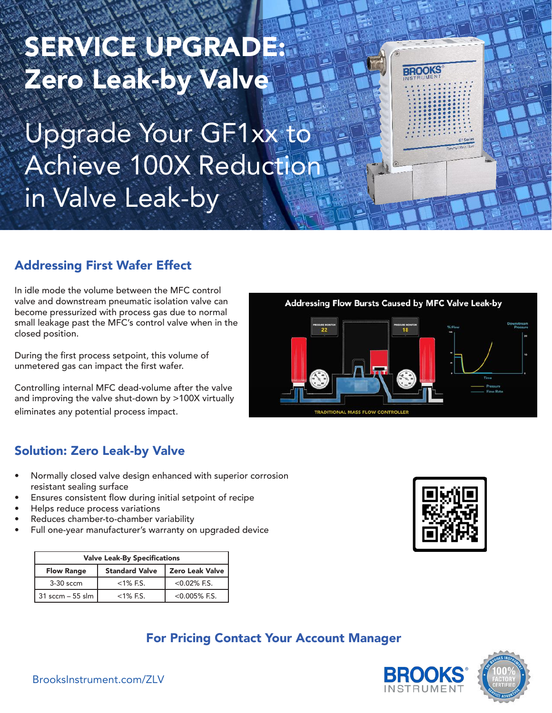# SERVICE UPGRADE: Zero Leak-by Valve

Upgrade Your GF1xx to Achieve 100X Reduction in Valve Leak-by

## Addressing First Wafer Effect

In idle mode the volume between the MFC control valve and downstream pneumatic isolation valve can become pressurized with process gas due to normal small leakage past the MFC's control valve when in the closed position.

During the first process setpoint, this volume of unmetered gas can impact the first wafer.

Controlling internal MFC dead-volume after the valve and improving the valve shut-down by >100X virtually eliminates any potential process impact.



**BROOKS** 

#### Solution: Zero Leak-by Valve

- Normally closed valve design enhanced with superior corrosion resistant sealing surface
- Ensures consistent flow during initial setpoint of recipe
- Helps reduce process variations
- Reduces chamber-to-chamber variability
- Full one-year manufacturer's warranty on upgraded device

| <b>Valve Leak-By Specifications</b> |                       |                        |  |  |  |
|-------------------------------------|-----------------------|------------------------|--|--|--|
| <b>Flow Range</b>                   | <b>Standard Valve</b> | <b>Zero Leak Valve</b> |  |  |  |
| 3-30 sccm                           | $<$ 1% F.S.           | $<0.02\%$ F.S.         |  |  |  |
| 31 sccm – 55 slm                    | $<$ 1% F.S.           | $< 0.005\%$ F.S.       |  |  |  |



## For Pricing Contact Your Account Manager



BrooksInstrument.com/ZLV